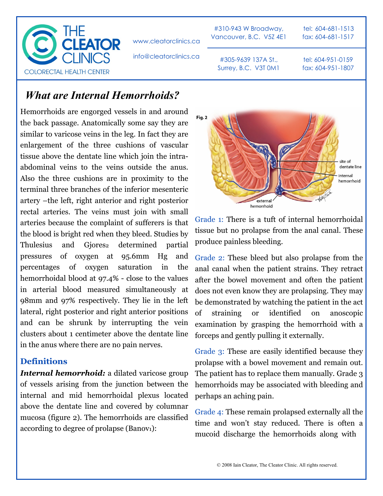

www.cleatorclinics.ca

info@cleatorclinics.ca

#310-943 W Broadway, Vancouver, B.C. V5Z 4E1

#305-9639 137A St., Surrey, B.C. V3T 0M1

tel: 604-681-1513 fax: 604-681-1517

tel: 604-951-0159 fax: 604-951-1807

## *What are Internal Hemorrhoids?*

Hemorrhoids are engorged vessels in and around the back passage. Anatomically some say they are similar to varicose veins in the leg. In fact they are enlargement of the three cushions of vascular tissue above the dentate line which join the intraabdominal veins to the veins outside the anus. Also the three cushions are in proximity to the terminal three branches of the inferior mesenteric artery –the left, right anterior and right posterior rectal arteries. The veins must join with small arteries because the complaint of sufferers is that the blood is bright red when they bleed. Studies by Thulesius and Gjores<sub>2</sub> determined partial pressures of oxygen at 95.6mm Hg and percentages of oxygen saturation in the hemorrhoidal blood at 97.4% - close to the values in arterial blood measured simultaneously at 98mm and 97% respectively. They lie in the left lateral, right posterior and right anterior positions and can be shrunk by interrupting the vein clusters about 1 centimeter above the dentate line in the anus where there are no pain nerves.

## **Definitions**

*Internal hemorrhoid:* a dilated varicose group of vessels arising from the junction between the internal and mid hemorrhoidal plexus located above the dentate line and covered by columnar mucosa (figure 2). The hemorrhoids are classified according to degree of prolapse (Banov<sub>1</sub>):



Grade 1: There is a tuft of internal hemorrhoidal tissue but no prolapse from the anal canal. These produce painless bleeding.

Grade 2: These bleed but also prolapse from the anal canal when the patient strains. They retract after the bowel movement and often the patient does not even know they are prolapsing. They may be demonstrated by watching the patient in the act of straining or identified on anoscopic examination by grasping the hemorrhoid with a forceps and gently pulling it externally.

Grade 3: These are easily identified because they prolapse with a bowel movement and remain out. The patient has to replace them manually. Grade 3 hemorrhoids may be associated with bleeding and perhaps an aching pain.

Grade 4: These remain prolapsed externally all the time and won't stay reduced. There is often a mucoid discharge the hemorrhoids along with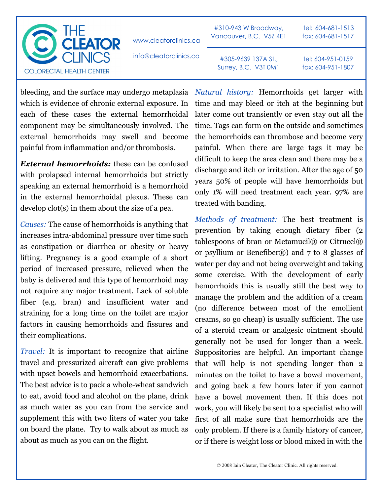

www.cleatorclinics.ca

#310-943 W Broadway, Vancouver, B.C. V5Z 4E1

tel: 604-681-1513 fax: 604-681-1517

info@cleatorclinics.ca

#305-9639 137A St., Surrey, B.C. V3T 0M1 tel: 604-951-0159 fax: 604-951-1807

which is evidence of chronic external exposure. In each of these cases the external hemorrhoidal component may be simultaneously involved. The external hemorrhoids may swell and become painful from inflammation and/or thrombosis.

*External hemorrhoids:* these can be confused with prolapsed internal hemorrhoids but strictly speaking an external hemorrhoid is a hemorrhoid in the external hemorrhoidal plexus. These can develop clot(s) in them about the size of a pea.

*Causes:* The cause of hemorrhoids is anything that increases intra-abdominal pressure over time such as constipation or diarrhea or obesity or heavy lifting. Pregnancy is a good example of a short period of increased pressure, relieved when the baby is delivered and this type of hemorrhoid may not require any major treatment. Lack of soluble fiber (e.g. bran) and insufficient water and straining for a long time on the toilet are major factors in causing hemorrhoids and fissures and their complications.

*Travel:* It is important to recognize that airline travel and pressurized aircraft can give problems with upset bowels and hemorrhoid exacerbations. The best advice is to pack a whole-wheat sandwich to eat, avoid food and alcohol on the plane, drink as much water as you can from the service and supplement this with two liters of water you take on board the plane. Try to walk about as much as about as much as you can on the flight.

bleeding, and the surface may undergo metaplasia *Natural history:* Hemorrhoids get larger with time and may bleed or itch at the beginning but later come out transiently or even stay out all the time. Tags can form on the outside and sometimes the hemorrhoids can thrombose and become very painful. When there are large tags it may be difficult to keep the area clean and there may be a discharge and itch or irritation. After the age of 50 years 50% of people will have hemorrhoids but only 1% will need treatment each year. 97% are treated with banding.

> *Methods of treatment:* The best treatment is prevention by taking enough dietary fiber (2 tablespoons of bran or Metamucil $\circledR$  or Citrucel $\circledR$ or psyllium or Benefiber®) and 7 to 8 glasses of water per day and not being overweight and taking some exercise. With the development of early hemorrhoids this is usually still the best way to manage the problem and the addition of a cream (no difference between most of the emollient creams, so go cheap) is usually sufficient. The use of a steroid cream or analgesic ointment should generally not be used for longer than a week. Suppositories are helpful. An important change that will help is not spending longer than 2 minutes on the toilet to have a bowel movement, and going back a few hours later if you cannot have a bowel movement then. If this does not work, you will likely be sent to a specialist who will first of all make sure that hemorrhoids are the only problem. If there is a family history of cancer, or if there is weight loss or blood mixed in with the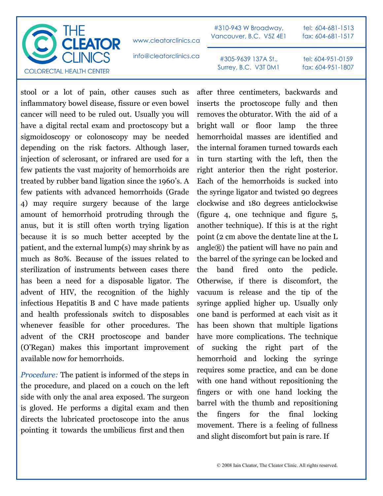

stool or a lot of pain, other causes such as inflammatory bowel disease, fissure or even bowel cancer will need to be ruled out. Usually you will have a digital rectal exam and proctoscopy but a sigmoidoscopy or colonoscopy may be needed depending on the risk factors. Although laser, injection of sclerosant, or infrared are used for a few patients the vast majority of hemorrhoids are treated by rubber band ligation since the 1960's. A few patients with advanced hemorrhoids (Grade 4) may require surgery because of the large amount of hemorrhoid protruding through the anus, but it is still often worth trying ligation because it is so much better accepted by the patient, and the external lump(s) may shrink by as much as 80%. Because of the issues related to sterilization of instruments between cases there has been a need for a disposable ligator. The advent of HIV, the recognition of the highly infectious Hepatitis B and C have made patients and health professionals switch to disposables whenever feasible for other procedures. The advent of the CRH proctoscope and bander (O'Regan) makes this important improvement available now for hemorrhoids.

*Procedure:* The patient is informed of the steps in the procedure, and placed on a couch on the left side with only the anal area exposed. The surgeon is gloved. He performs a digital exam and then directs the lubricated proctoscope into the anus pointing it towards the umbilicus first and then

after three centimeters, backwards and inserts the proctoscope fully and then removes the obturator. With the aid of a bright wall or floor lamp the three hemorrhoidal masses are identified and the internal foramen turned towards each in turn starting with the left, then the right anterior then the right posterior. Each of the hemorrhoids is sucked into the syringe ligator and twisted 90 degrees clockwise and 180 degrees anticlockwise (figure 4, one technique and figure 5, another technique). If this is at the right point (2 cm above the dentate line at the L angle®) the patient will have no pain and the barrel of the syringe can be locked and the band fired onto the pedicle. Otherwise, if there is discomfort, the vacuum is release and the tip of the syringe applied higher up. Usually only one band is performed at each visit as it has been shown that multiple ligations have more complications. The technique of sucking the right part of the hemorrhoid and locking the syringe requires some practice, and can be done with one hand without repositioning the fingers or with one hand locking the barrel with the thumb and repositioning the fingers for the final locking movement. There is a feeling of fullness and slight discomfort but pain is rare. If